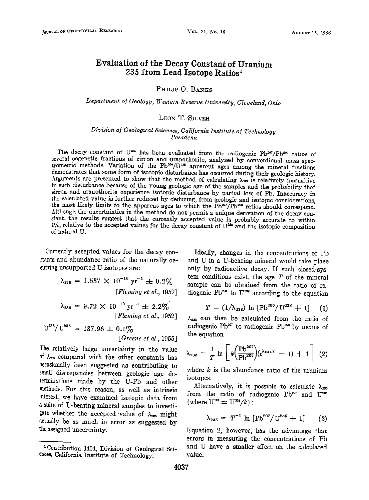# **Evaluation of the Decay Constant of Uranium 235 from Lead Isotope Ratios**

## PHILIP O. BANKS

Department of Geology, *Western Reserve University, Cleveland, Ohio* 

#### LEON T. SILVER

## **Diuision of Geological Sciences, California Institute of Technology**  Pasadena

The decay constant of U<sup>235</sup> has been evaluated from the radiogenic Pb<sup>207</sup>/Pb<sup>200</sup> ratios of several cogenetic fractions of zircon and uranothorite, analyzed by conventional mass spectrometric methods. Variation of the Pb<sup>206</sup>/U<sup>288</sup> apparent ages among the mineral fractions demonstrates that some form of isotopic disturbance has occurred during their geologic history. Arguments are presented to show that the method of calculating  $\lambda_{\text{ms}}$  is relatively insensitive to such disturbance because of the young geologic age of the samples and the probability that zircon and uranothorite experience isotopic disturbance by partial loss of Pb. Inaccuracy in **the calculated value is further reduced by deducing, from geologie and isotopic considerations,**  the most likely limits to the apparent ages to which the Pb<sup>or</sup>/Pb<sup>oos</sup> ratios should correspond. Although the uncertainties in the method do not permit a unique derivation of the decay con**stant, the results suggest that the currently accepted value is probably accurate to within**  1%, relative to the accepted values for the decay constant of U<sup>298</sup> and the isotopic composition **of natural U.** 

Currently accepted values for the decay con**stunts and abundance ratio of the naturally oeeurring unsupported U isotopes are:** 

> $\lambda_{238} = 1.537 \times 10^{-10} \text{ yr}^{-1} \pm 0.2\%$ *[Fleming et al., 1952]*

$$
\lambda_{235} = 9.72 \times 10^{-10} \text{ yr}^{-1} \pm 2.2\%
$$
  
[*Fleming et al.*, 1952]

$$
U^{238}/U^{235} = 137.96 \pm 0.1\%
$$
  
[*Greene et al.*, 1955]

**The relatively large uncertainty in the value 0f X= compared with the other constants has occasionally been suggested as contributing to small discrepancies between geologic age de**terminations made by the U-Pb and other **methods. For this reason, as well as intrinsic interest, we have examined isotopic data from a suite of U-bearing mineral samples to investi**gate whether the accepted value of  $\lambda_{\text{235}}$  might actually be as much in error as suggested by the assigned uncertainty.

**Ideally, changes in the concentrations of Pb and U in a U-bearing mineral would take place**  only by radioactive decay. If such closed-sys**tem conditions exist, the age T of the mineral sample can be obtained from the ratio of ra**diogenic Pb<sup>208</sup> to U<sup>298</sup> according to the equation

$$
T = (1/\lambda_{238}) \ln [Pb^{206}/U^{238} + 1] \quad (1)
$$

 $\lambda_{225}$  can then be calculated from the ratio of radiogenic Pb<sup>207</sup> to radiogenic Pb<sup>200</sup> by means of **the equation** 

$$
\lambda_{235} = \frac{1}{T} \ln \left[ k \left( \frac{\text{Pb}^{207}}{\text{Pb}^{206}} \right) (e^{\lambda_{314}T} - 1) + 1 \right] (2)
$$

where  $k$  is the abundance ratio of the uranium **isotopes.** 

Alternatively, it is possible to calculate  $\lambda_{\text{ext}}$ from the ratio of radiogenic Pb<sup>207</sup> and U<sup>225</sup>  $(\text{where } U^{28} = U^{28}/k)$ :

$$
\lambda_{235} = T^{-1} \ln \left[ \text{Pb}^{207} / \text{U}^{235} + 1 \right] \qquad (3)
$$

**Equation 2, however, has the advantage that errors in measuring the concentrations of Pb and U have a smaller effect on the calculated value.** 

**<sup>•</sup>Contribution 1404, Division of Geological Sci**ences, California Institute of Technology.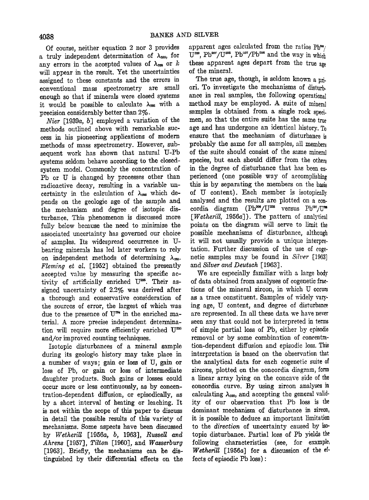**Of course, neither equation 2 nor 3 provides**  a truly independent determination of  $\lambda_{\text{max}}$ , for any errors in the accepted values of  $\lambda_{\text{max}}$  or k **will appear in the result. Yet the uncertainties assigned to these constants and the errors in conventional mass spectrometry are small enough so that if minerals were closed systems**  it would be possible to calculate  $\lambda_{\text{res}}$  with a **precision considerably better than 2%.** 

**After [1939a, b] employed a variation of the methods outlined above with remarkable success in his pioneering applications of modern**  methods of mass spectrometry. However, sub**sequent work has shown that natural U-Pb**  systems seldom behave according to the closed**system model. Commonly the concentration of Pb or U is changed by processes other than**  radioactive decay, resulting in a variable uncertainty in the calculation of  $\lambda_{\text{max}}$  which de**pends on the geologic age of the sample and the mechanism and degree of isotopic disturbance. This phenomenon is discussed more fully below because the need to minimize the associated uncertainty has governed our choice of samples. Its widespread occurrence in Ubearing minerals has led later workers to rely**  on independent methods of determining  $\lambda_{\infty}$ . **Fleming ei a!. [1952] obtained the presently**  accepted value by measuring the specific activity of artificially enriched U<sup>225</sup>. Their as**signed uncertainty of 2.2% was derived after a thorough and conserwxtive consideration of the sources of error, the largest of which was**  due to the presence of U<sup>234</sup> in the enriched ma**terial. A more precise independent determination will require more efficiently enriched and/or improved counting techniques.** 

**Isotopic disturbances of a mineral sample during its geologic. history may take place in a number of ways; gain or loss of U, gain or**  loss of Pb, or gain or loss of intermediate **daughter products. Such gains or losses could occur more or less continuously, as by concenlration-dependent diffusion, or episodically, as by a short interval of heating or leaching. It is not within the scope of this paper to discuss in detail the possible results of this variety of mechanisms. Some aspects have been discussed by Wetherill [1956a, b, 1963], Russell a•d Ahrens [1957], Tilio• [1960], and Wasserburg [1963]. Briefly, the mechanisms can be distinguished by their differential effects on the** 

apparent ages calculated from the ratios  $Ph^{su}$ U<sup>238</sup>, Pb<sup>207</sup>/U<sup>285</sup>, Pb<sup>207</sup>/Pb<sup>206</sup> and the way in which **these apparent ages depart from the true age of the mineral.** 

**The true age, though, is seldom known apriori. To investigate the mechanisms of disturb. ance in real samples, the following operational method may be employed. A\_ suite of mineral**  samples is obtained from a single rock specimen, so that the entire suite has the same true **age and has undergone an identical history. To ensure that the mechanism of disturbance is probably the same for all samples, all members**  of the suite should consist of the same mineral **species, but each should differ from the others in the degree of disturbance that has been ex. perienced (one possible way of accomplishing this is by separating the members on lhe basis of U content). Each member is isotopically analyzed and the results are plotted on a con**cordia diagram (Pb<sup>208</sup>/U<sup>228</sup> versus Pb<sup>207</sup>/U<sup>28</sup> **[Wetherill, 1956a]). The pattern of analytical points on the diagram will serve to limit the possible mechanisms of disturbance, although it will not usually provide a unique interpretation. Further discussion of the use of eoge**netic samples may be found in Silver [1963] **and Silver and Deutsch [1963].** 

**We are especially familiar with a large body of data obtained from analyses of cogenetic fractions of the mineral zircon, in which U occurs as a trace constituent. Samples of widely varying age, U content, and degree of disturbance are represented. In alI these data we have never seen any that could not be interpreted in terms of simple partial loss of Pb, either by episodie removal or by some combination of concentration-dependent diffusion and episodic loss. This interpretation is based on the observation that the analytical data for each eogenetie suite of zircons, plotted on the concordia diagram, form a linear array lying on the concave side of the concordia curve. By using zircon analyses in**  calculating  $\lambda_{\text{235}}$ , and accepting the general valid**ity of our observation that Pb loss is the dominant mechanism of disturbance in zircon, it is possible to deduce an important limitation to the direction of uncertainty caused by isotopic disturbance. Partial loss of Pb yields the following characteristics (see, for example, Wetherill** [1956a] for a discussion of the ef**fects of episodic Pb loss):**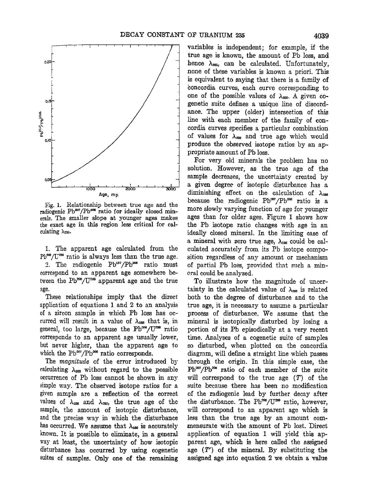

erals. The smaller slope at younger ages makes the exact age in this region less critical for cal-

correspond to an apparent age somewhere be-<br>tween the Pb<sup>306</sup>/U<sup>288</sup> apparent age and the true

given sample are a reflection of the correct values of  $\lambda_{\text{ass}}$  and  $\lambda_{\text{ass}}$ , the true age of the disturbance has occurred by using cogenetic age  $(T')$  of the mineral. By substituting the suites of samples. Only one of the remaining assigned age into equation 2 we obtain a value suites of samples. Only one of the remaining

**ance. The upper (older) intersection of this line with each member of the family of con**cordia curves specifies a particular combination of values for  $\lambda_{\text{gas}}$  and true age which would **produce the observed isotope ratios by an apvariables is independent; for example, if**   $hence \lambda_{235}$ , can be calculated. Unfortunately, **none of these variables is known a priori. This**  is equivalent to saying that there is a family of **boncordia curves, each curve corresponding to**  one of the possible values of  $\lambda_{\text{gas}}$ . A given co**genetic suite defines a unique line of discord-** 

**For very old minerals the problem has no solution. However, as the true age of the • • solution. However, as the true age of the o.o• ;/• sample decreases, the tincertainty created by**  a given degree of isotopic disturbance has a **diminishing effect on the calculation of λ<sub>αμε</sub><br>because the radiogenic Pb<sup>207</sup>/Pb<sup>206</sup> ratio is a** Fig. 1. Relationship between true age and the radiogenic Pb<sup>30</sup>/Pb<sup>206</sup> ratio is a radiogenic Pb<sup>307</sup>/Pb<sup>206</sup> ratio for ideally closed min- more slowly varying function of age for younger erals. The smaller slope at younge **the exact age in this region less critical for cal- the ?b isotope ratio changes with age in an**  ideally closed mineral. In the limiting case of a mineral with zero true age,  $\lambda_{235}$  could be cal**l.** The apparent age calculated from the culated accurately from its Pb isotope compo- $Pb^{\text{ss}}/U^{\text{ss}}$  ratio is always less than the true age. sition regardless of any amount or mechanism  $B^{\text{ss}}/U^{\text{ss}}$  ratio is always less than the true age. sition regardless of any amount or mechanism 2. The radiogenic Pb<sup>207</sup>/Pb<sup>200</sup> ratio must of partial Pb loss, provided that such a minof partial Pb loss, provided that such a min-<br>cral could be analyzed.

To illustrate how the magnitude of uncerage.<br>**These relationships imply that the direct** both to the degree of disturbance and to the These relationships imply that the direct both to the degree of disturbance and to the application of equations 1 and 2 to an analysis true age, it is necessary to assume a particular application of equations 1 and 2 to an analysis true age, it is necessary to assume a particular of a zircon sample in which Pb loss has oc- process of disturbance. We assume that the of a zircon sample in which Pb loss has oc- process of disturbance. We assume that the curred will result in a value of  $\lambda_{\text{ess}}$  that is, in mineral is isotopically disturbed by losing a curred will result in a value of  $\lambda_{\text{ess}}$  that is, in mineral is isotopically disturbed by losing a general, too large, because the Pb<sup>-oo</sup>/U<sup>-oo</sup> ratio portion of its Pb episodically at a very recent general, too large, because the Pb<sup>-96</sup>/U<sup>298</sup> ratio portion of its Pb episodically at a very recent corresponds to an apparent age usually lower, time, Analyses of a cogenetic suite of samples **corresponds to an apparent age usually lower, time. Analyses of a cogenetic suite of samples**  but never higher, than the apparent age to so disturbed, when plotted on the concordia which the Pb<sup>307</sup>/Pb<sup>306</sup> ratio corresponds. diagram, will define a straight line which passes hich the Pb<sup>307</sup>/Pb<sup>306</sup> ratio corresponds. diagram, will define a straight line which passes<br>The *magnitude* of the error introduced by through the origin. In this simple case, the The magnitude of the error introduced by through the origin. In this simple case, the calculating  $\lambda_{\text{ess}}$  without regard to the possible Pb<sup>207</sup>/Pb<sup>206</sup> ratio of each member of the suite calculating  $\lambda_{\text{ext}}$  without regard to the possible Pb<sup>-37</sup>/Pb<sup>-66</sup> ratio of each member of the suite occurrence of Pb loss cannot be shown in any will correspond to the true age (T) of the occurrence of Pb loss cannot be shown in any will correspond to the true age  $(T)$  of the simple way. The observed isotope ratios for a suite because there has been no modification suite because there has been no modification<br>of the radiogenic lead by further decay after values of  $\lambda_{\text{258}}$  and  $\lambda_{\text{358}}$ , the true age of the the disturbance. The Pb<sup>oo</sup>/U<sup>288</sup> ratio, however, sample, the amount of isotopic disturbance, will correspond to an apparent age which is sample, the amount of isotopic disturbance, will correspond to an apparent age which is and the precise way in which the disturbance less than the true age by an amount comless than the true age by an amount com-<br>mensurate with the amount of Pb lost. Direct has occurred. We assume that  $\lambda_{\text{ass}}$  is accurately mensurate with the amount of Pb lost. Direct known. It is possible to eliminate, in a general application of equation 1 will yield this ap-**'known. It is possible to eliminate, in a general application of equation 1 will yield this apway at least, the uncertainty of how isotopic parent age, which is here called the assigned**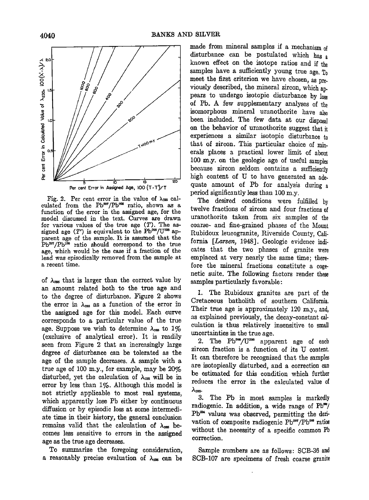

Fig. 2. Per cent error in the value of  $\lambda_{\text{205}}$  calculated from the Pb<sup>207</sup>/Pb<sup>206</sup> ratio, shown as a function of the error in the assigned age, for the **model discussed in the text. Curves are drawn for various values of the true age (T). The as**signed age (T') is equivalent to the Pb<sup>208</sup>/U<sup>238</sup> ap**parent age of the sample. It is assumed that the**  Pb<sup>207</sup>/Pb<sup>206</sup> ratio should correspond to the true **age, which would be the case if a fraction of the lead was episodically removed from the sample at a recent time.** 

of  $\lambda_{\text{ess}}$  that is larger than the correct value by **an amount related both to the true age and**  to the degree of disturbance. Figure 2 shows the error in  $\lambda_{235}$  as a function of the error in **the assigned age for this model. Each curve corresponds to a particular value of the true**  age. Suppose we wish to determine  $\lambda_{\text{max}}$  to  $1\%$ **(exclusive of analytical error). It is readily seen from Figure 2 that an increasingly large degree of disturbance can be tolerated as the**  age of the sample decreases. A sample with a **true age of 100 m.y., for example, may be 20'%**  disturbed, yet the calculation of  $\lambda_{\text{235}}$  will be in **error by less than 1%. Although this model is not strictly applicable lo most real systems, which apparently lose Pb either by continuous diffusion or by episodic loss at some intermedi**ate time in their history, the general conclusion **remains** valid that the calculation of  $\lambda_{\text{max}}$  be**comes less sensitive to errors in lhe assigned age as the true age decreases.** 

**To summarize the foregoing consideration,**  a reasonably precise evaluation of  $\lambda_{\text{max}}$  can be made from mineral samples if a mechanism of **disturbance can be postulated which has a known effect on the isotope ratios and if the samples have a sufficiently young true age. To meet the first criterion we have chosen, as previously described, the mineral zircon, which appears to undergo isotopic disturbance by 10as of Pb. A few supplementary analyses of the**  isomorphous mineral uranothorite have also **been included. The few data at our disposal on the behavior of uranothorite suggest that it experiences a similar isotopic disturbance to that of zircon. This particular choice of minerals places a practical lower limit of about 100 m.y. on the geologic age of useful samples because zircon seldom contains a sufficienlly high content of U to have generated an adequate amount of Pb for analysis during a period significantly less than 100 m.y.** 

**The desired conditions were fulfilled by twelve fractions of zircon and four fractions of uranothorite taken from six samples of the**  coarse- and fine-grained phases of the Mount Rubidoux leucogranite, Riverside County, California [*Larsen*, 1948]. Geologic evidence indi**cates that the two phases of granite were**  emplaced at very nearly the same time; there**fore the mineral fractions constitute a coge. netic suite. The following factors render these**  samples particularly favorable:

1. The Rubidoux granites are part of the **Cretaceous batholith of southern California. Their true age is approximately 120 m.y., and, as explained previously, the decay-constant calculation is thus relatively insensitive to small**  uncertainties in the true age.

2. The Pb<sup>200</sup>/U<sup>238</sup> apparent age of each zircon fraction is a function of its U content. It can therefore be recognized that the samples **are isotopically disturbed, and a correction can be estimated for this condition which further reduces the error in the calculated value of**   $\lambda_{\rm res.}$ 

**3. The Pb in most samples is markedly**  radiogenic. In addition, a wide range of Pb\*\*/ Pb<sup>34</sup> values was observed, permitting the derivation of composite radiogenic Pb<sup>207</sup>/Pb<sup>206</sup> ratios **without the necessity of a specific common Pb correction.** 

**Sample numbers are as follows: SCB-36 and SCB-107 are specimens of fresh coarse granite**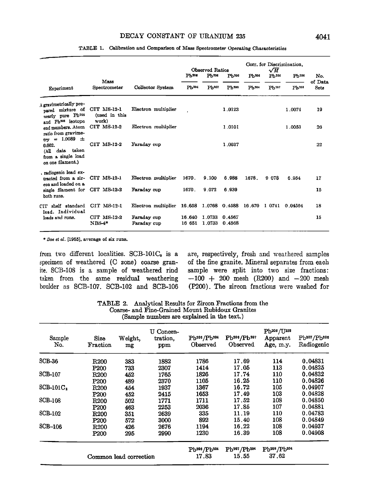### **DECAY CONSTANT 0F URANIUM 235**

|                                                                                                                                                                                                                                         |                                       |                                          | <b>Observed Ratios</b> |                   |                  | Corr. for Discrimination.<br>$\sqrt{M}$ |                   |                   |                |  |
|-----------------------------------------------------------------------------------------------------------------------------------------------------------------------------------------------------------------------------------------|---------------------------------------|------------------------------------------|------------------------|-------------------|------------------|-----------------------------------------|-------------------|-------------------|----------------|--|
|                                                                                                                                                                                                                                         | Mass                                  |                                          | Ph200                  | Pb <sub>206</sub> | Pb200            | Pb <sup>206</sup>                       | Pb <sup>206</sup> | Ph <sub>206</sub> | No.<br>of Data |  |
| Experiment                                                                                                                                                                                                                              | Spectrometer                          | Collector System                         | Pb <sup>204</sup>      | $Pb^{207}$        | $Ph^{208}$       | Ph <sub>204</sub>                       | $Ph^{207}$        | Ph208             | Seta           |  |
| A gravimetrically pre-<br>pared mixture of<br>nearly pure Ph206<br>and Pb208 isotope<br>end members. Atom<br>ratio from gravime-<br>$= 1.0089 \pm$<br>trv<br>0.002.<br>taken<br>(All<br>data<br>from a single load<br>on one filament.) | CIT MS-12-1<br>(used in this<br>work) | Electron multiplier                      |                        |                   | 1.0123           |                                         |                   | 1.0074            | 19             |  |
|                                                                                                                                                                                                                                         | CIT MS 12-2                           | Electron multiplier                      |                        |                   | 1.0101           |                                         |                   | 1.0053            | 26             |  |
|                                                                                                                                                                                                                                         | CIT MS-12-2                           | Faraday cup                              |                        |                   | 1.0037           |                                         |                   |                   | 22             |  |
| radiogenic lead ex-<br>tracted from a zir-<br>con and loaded on a<br>single filament for<br>hoth runs.                                                                                                                                  | CIT MS-12-1                           | Electron multiplier                      | 1670.                  | 9.100             | 6.988            | 1678.                                   | 9 078             | 6.954             | 17             |  |
|                                                                                                                                                                                                                                         | $CIT$ MS-12-2                         | Faraday cup                              | 1670.                  | 9.072             | 6.939            |                                         |                   |                   | 15             |  |
| shelf standard<br><b>CIT</b><br>lead. Individual<br>loads and runs.                                                                                                                                                                     | CIT MS-12-1                           | Electron multiplier 16.658 1.0768 0.4588 |                        |                   |                  | 16.670                                  | 10741             | 0.04564           | 18             |  |
|                                                                                                                                                                                                                                         | CIT MS-12-2<br>$NBS-4*$               | Faraday cup<br>Faraday cup               | 16.640<br>16 651       | 1.0733<br>1.0733  | 0.4567<br>0.4568 |                                         |                   |                   | 15             |  |

#### **TABLE 1. Calibration and Comparison of Mass Spectrometer Operating Characteristics**

**\* Doe et aI. [1965], average of six runs.** 

from two different localities. SCB-101C<sub>s</sub> is a **specimen of weathered (C zone) coarse granite. SCB-108 is a smnple of weathered rind taken from the same residual weathering boulder as SCB-107. SCB-102 and SCB-106**  **are, respectively, fresh and weathered samples of the fine granite. Mineral separates from each**  sample were split into two size fractions: **--100 + 200 mesh (R200) and--200 mesh (P200). The zircon fractions were washed for** 

**TABLE 2. Analytical Results for Zircon Fractions from •he**  Coarse- and Fine-Grained Mount Rubidoux Granites **(Sample numbers are explained in the text.)** 

| Sample<br>No.  | Size<br>Fraction | Weight.<br>mg          | U Concen-<br>tration.<br>ppm | Ph206/Ph204<br>Observed | Pb206/Pb207<br>Observed              | $Pb^{206}/U^{238}$<br>Apparent<br>Age, m.y. | Pb207/Pb206<br>Radiogenic |
|----------------|------------------|------------------------|------------------------------|-------------------------|--------------------------------------|---------------------------------------------|---------------------------|
| $SCB-36$       | <b>R200</b>      | 383                    | 1882                         | 1786                    | 17.69                                | 114                                         | 0.04831                   |
|                | P <sub>200</sub> | 733                    | 2307                         | 1414                    | 17.05                                | 113                                         | 0.04825                   |
| <b>SCB-107</b> | <b>R200</b>      | 452                    | 1765                         | 1826                    | 17.74                                | 110                                         | 0.04832                   |
|                | <b>P200</b>      | 489                    | 2370                         | 1105                    | 16.25                                | 110                                         | 0.04826                   |
| $SCB-101C3$    | <b>R200</b>      | 454                    | 1937                         | 1367                    | 16.72                                | 105                                         | 0.04907                   |
|                | <b>P200</b>      | 452                    | 2415                         | 1653                    | 17.49                                | 103                                         | 0.04828                   |
| SCB-108        | <b>R200</b>      | 502                    | 1771                         | 1711                    | 17.52                                | 108                                         | 0.04850                   |
|                | P <sub>200</sub> | 463                    | 2253                         | 2036                    | 17.85                                | 107                                         | 0.04881                   |
| SCB-102        | <b>R200</b>      | 351                    | 2639                         | 335                     | 11.19                                | 110                                         | 0.04783                   |
|                | P <sub>200</sub> | 572                    | 3000                         | 892                     | 15.40                                | 108                                         | 0.04849                   |
| $SCB-106$      | R <sub>200</sub> | 426                    | 2676                         | 1194                    | 16.22                                | 108                                         | 0.04937                   |
|                | <b>P200</b>      | 295                    | 2990                         | 1230                    | 16.39                                | 108                                         | 0.04908                   |
|                |                  |                        |                              | Pb306/Pb204             | Pb <sup>307</sup> /Pb <sup>304</sup> | Pb <sup>208</sup> /Pb <sup>204</sup>        |                           |
|                |                  | Common lead correction |                              | 17.83                   | 15.55                                | 37.62                                       |                           |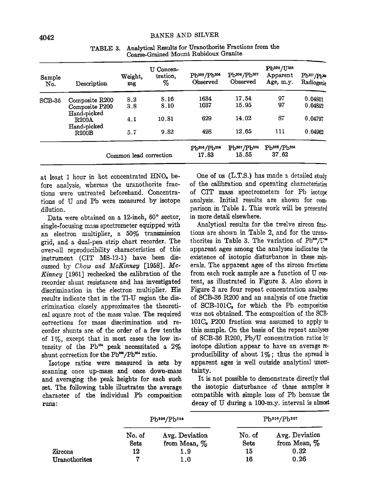| Sample<br>No. | Description                   | Weight,<br>mg          | U Concen-<br>tration.<br>% | Pb206/Pb204<br>Observed | Pb206/Pb207<br>Observed      | Pb206/U238<br>Apparent<br>Age, m.y. | $Pb^{207}/Pb^{266}$<br>Radiogenic |
|---------------|-------------------------------|------------------------|----------------------------|-------------------------|------------------------------|-------------------------------------|-----------------------------------|
| $SCB-36$      | Composite R200                | 8.3                    | 8.16                       | 1634                    | 17.54                        | 97                                  | 0.04801                           |
|               | Composite P200<br>Hand-picked | 3.8                    | 8.10                       | 1037                    | 15.95                        | 97                                  | 0.04852                           |
|               | R200A<br>Hand-picked          | 4.1                    | 10.81                      | 629                     | 14.02                        | 87                                  | 0.04797                           |
|               | R200B                         | 5.7                    | 9.82                       | 498                     | 12.65                        | 111                                 | 0.04962                           |
|               |                               | Common lead correction |                            | Pb206/Pb204<br>17.83    | $Pb^{207}/Pb^{204}$<br>15.55 | $Pb^{208}/Pb^{204}$<br>37.62        |                                   |

**TABLE 3.**  Analytical Results for Uranothorite Fractions from the **Coarse-Grained Mount Rubidomx Granite** 

at least 1 hour in hot concentrated HNO<sub>s</sub> before analysis, whereas the uranothorite frac**tions were untreated beforehand. Concentrations of U and Pb were measured by isotope dilution.** 

Data were obtained on a 12-inch, 60° sector, **single-focusing mass spectrometer equipped with an electron multiplier, a 50% transmission grid, and a dual-pen strip chart recorder. The**  over-all reproducibility characteristics of this **instrument (CIT MS-12-1) have been dis**cussed by Chow and McKinney [1958]. Mc-Kinney [1961] rechecked the calibration of the **recorder shunt resistances and has investigated**  discrimination in the electron multiplier. His results indicate that in the Tl-U region the discrimination closely approximates the theoretical square root of the mass value. The required **corrections for mass discrimination and recorder shunts are of the order of a few tenths of 1%, except that in most cases the low in**tensity of the Pb<sup>304</sup> peak necessitated a 2% shunt correction for the Pb<sup>208</sup>/Pb<sup>204</sup> ratio.

**Isotope ratios were measured in sets by scanning once up-mass and once down-mass and averaging the peak heights for each such set. The following table illustrates the average character of the individual Pb composition runs:** 

**One of us (L.T.S.) has made a detailed study of the calibration and operating characteristics of CIT mass spectrometers for Pb isotope analysis. Initial results are shown for comparison in Table 1. This work will be presented in more detail elsewhere.** 

**Analytical results for the twelve zircon fraetions are shown in Table 2, and for the urano**thorites in Table 3. The variation of Pb<sup>208</sup>/U<sup>\*\*</sup> **apparent ages among the analyses indicates existence of isotopic disturbance in these minerals. The apparent ages of the zircon fractions from each rock sample are a function of U content, as illustrated in Figure 3. Also shown in Figure 3 are four repeat concentration analyses of SCB-36 1{200 and an analysis of one fraction of SCB-101C• for which the Pb composition was not obtained. The composition of the SCB-101C• P200 fraction was assumed to apply this sample. On the basis of the repeat analyses of SCB-36 1{200, Pb/U concentration ratios by isotope dilution appear to have an average reproducibility of about 1%; thus the spread in apparent ages is well outside analytical uncertainty.** 

**It is not possible to demonstrate directly that the isotopic disturbance of these samples is compatible wiih simple loss of Pb because decay of lff during a 100-m.y. interval is almost** 

|               |                | $Pb^{200}/Pb^{204}$               | $Pb^{205}/Pb^{207}$ |                                |  |
|---------------|----------------|-----------------------------------|---------------------|--------------------------------|--|
|               | No. of<br>Sets | Avg. Deviation<br>from Mean, $\%$ | No. of<br>Sets      | Avg. Deviation<br>from Mean, % |  |
| Zircons       | 12             | 1.9                               | 15                  | 0.32                           |  |
| Uranothorites | 7              | 1.0                               | 16                  | 0.26                           |  |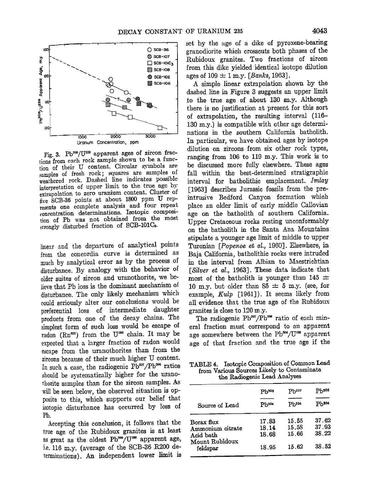

Fig. 3. Pb<sup>eos</sup>/U<sup>238</sup> apparent ages of zircon frac**tions from each rock sample shown to be a function of their U content. Circular symbols are samples of fresh rock; squares are samples of weathered rock. Dashed line indicates possible interpretation of upper limit to the true age by**  extrapolation to zero uranium content. Cluster of **five SCB-36 points at about 1800 ppm U rep**resents one complete analysis and four repeat **concentration determinations. Isotopic compostdon of Pb was not obtained from the most strongly disturbed fraction of SCB-101C•.** 

**lh•ear and the departure of analytical points from the concordia curve is determined as much by analytical error as by the process of disturbance. By analogy with the behavior of older suites of zircon and uranothorite, we be**lieve that Pb loss is the dominant mechanism of **disturbance. The only likely mechanism which could seriously alter our conclusions would be preferential loss of intermediate daughter products from one of the decay chains. The simplest form of such loss would be escape of**  radon (Rn<sup>222</sup>) from the U<sup>288</sup> chain. It may be **expected that a larger fraction of radon would escape from the uranothorites than from the zircons because of their much higher U content.**  In such a case, the radiogenic Pb<sup>207</sup>/Pb<sup>206</sup> ratios **should be systematically higher for the nrano**thorite samples than for the zircon samples. As **will be seen below, the observed situation is opposite to this, which supports our belief that isotopic disturbance has occurred by loss of Pb.** 

**Accepting this conclusion, it follows that the true age of the Rubidoux granites is at least**  as great as the oldest Pb<sup>206</sup>/U<sup>288</sup> apparent age, **i.e. t16 m.y. (average of the SCB-S6 R200 determinations). An independent lower limit is**  **set by the age of a dike of pyroxene-bearing granodiorite which crosscuts both phases of the Itubidoux granites. Two fractions of zircon from this dike yielded identical isotope dilution**  ages of  $109 \pm 1$  m.y. [*Banks*, 1963].

**A simple linear extrapolation shown by the dashed line in Figure 3 suggests an upper limit ,to the true age of about 130 m.y. Although there is no justification at present for this sort of extrapolation, the resulting interval (116- 130 m.y.) is compatible with other age determinations in the southern California batholith.**  In particular, we have obtained ages by isotope **dilution on zircons from six other rock types, ranging from 106 to 119 m.y. This work is to be discussed more fully elsewhere. These ages fall within the best-determined stratigraphic**  interval for batholithic emplacement. *Imlay* **[1963] describes Jurassic fossils from the preintrusive Bedford Canyon formation which place an older limit of early middle Callovian age on the bathoilth of southern California. Upper Cretaceous rocks resting unconformably on the batholith in the Santa Ana Mountains stipulate a younger age limit of middle to upper**  Turonian [*Popenoe et al.*, 1960]. Elsewhere, in **Baja California, batholithic rocks were intruded**  in the interval from Albian to Maestrichtian [Silver et al., 1963]. These data indicate that most of the batholith is younger than  $145 \pm 145$ **10 m.y.** but older than  $85 \pm 5$  m.y. (see, for example, Kulp [1961]). It seems likely from **all evidence that the true age of the Rubidoux granites is close to 120 m.y.** 

The radiogenic Pb<sup>207</sup>/Pb<sup>208</sup> ratio of each min**eral fraction must correspond to an apparent**  age somewhere between the Pb<sup>308</sup>/U<sup>288</sup> apparent **age of that fraction and the true age if the** 

**TABLE 4. Isotopic Composition of Common Lead from Various Sources Likely to Contaminate the Radiogenic Lead Analyses** 

|                               | Ph <sup>206</sup> | Ph. 07            | Ph208          |
|-------------------------------|-------------------|-------------------|----------------|
| Source of Lead                | $Pb^{204}$        | Ph <sup>204</sup> | <b>Ph204</b>   |
| Borax flux                    | 17.83             | 15.55             | 37.62          |
| Ammonium citrate<br>Acid bath | 18.14<br>18.68    | 15.58<br>15.66    | 37.93<br>38.22 |
| Mount Rubidoux<br>feldspar    | 18.95             | 15.62             | 38.52          |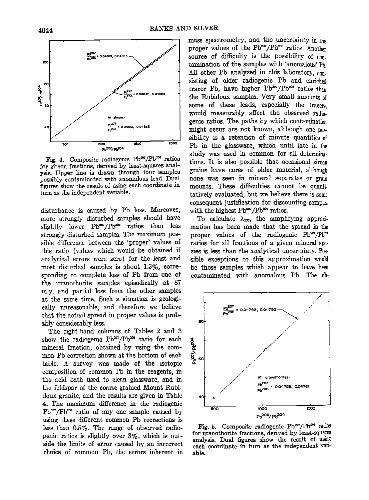

Fig. 4. Composite radiogenic Pb<sup>207</sup>/Pb<sup>208</sup> ratios **for zircon fractions, derived by least-squares analysis. Upper line is drawn through four samples possibly contaminated with anomalous lead. Dual**  figures show the result of using each coordinate in **turn as the independent variable.** 

disturbance is caused by Pb loss. Moreover, **more strongly disturbed samples should have**  slightly lower Pb<sup>207</sup>/Pb<sup>208</sup> ratios than less **strongly disturbed samples. The maximum possible difference between the 'proper' values of this ratio (values which would be obtained if analytical errors were zero) for the least. and most disturbed samples is about 1.3%, corresponding to complete loss of Pb from one of the uranothorite samples episodicaIly at 87 m.y. and partial loss from the other samples at the same time. Such a situation is geologically unreasonable, and therefore we believe that the actual spread in proper values is probably considerably less.** 

**The right-hand columns of Tables 2 and 3**  show the radiogenic Pb<sup>\*\*</sup>/Pb<sup>\*\*</sup> ratio for each and mineral fraction, obtained by using the com-<br>mon Pb correction shown at the bottom of each and the sector of the sector of the sector of the sector of the sector of the **mineral fraction, obtained by using the common Pb correction shown at the bottom of each table. A survey was made of the isotopic composition of common Pb in the reagents, in the acid bath used to clean glassware, and in the feldspar of the. coarse-grained Mount Rubidoux granite, and the results are given in Table 4. The maximum difference in the radiogenic**  Pb<sup>207</sup>/Pb<sup>206</sup> ratio of any one sample caused by **using these different common Pb corrections is less than 0.5%. The range of observed radiogenic ratios is slightly over 3%, which is outside the limits of error caused by an incorrect choice of common Pb, the errors inherent in** 

**mass spectrometry, and the uncertainty in the**  proper values of the Pb<sup>207</sup>/Pb<sup>206</sup> ratios. Another source of difficulty is the possibility of contamination of the samples with 'anomalous' Ph **All other Pb analyzed in this laboratory, con. sisting of older radiogenic Pb and enriched**  tracer Pb, have higher Pb<sup>207</sup>/Pb<sup>206</sup> ratios than **the Itubidoux samples. Very small amounts of some of these leads, especially the tracers, would measurably affect the, observed radiogenic ratios. The paths by which contamination**  might occur are not known, although one pos**sibility is a retention of minute quantities of Pb in the glassware, which until late in the study was used in common for all determinations. It is also possible that occasional zircon grains have cores of older material, although none was seen in mineral separates or grain**  mounts. These difficulties cannot be quanti**tatively evaluated, but we believe there is some**  consequent justification for discounting samples with the highest Pb<sup>207</sup>/Pb<sup>206</sup> ratios.

To calculate  $\lambda_{\text{max}}$ , the simplifying approxi**mation has been made that the spread in the**  proper values of the radiogenic Pb<sup>er</sup>/Pb<sup>\*\*</sup> **ratios for all fractions of a given mineral species is less than the analytical uncertainty. Possible exceptions to this approximation would be those samples which appear to have been**  contaminated with anomalous Pb. The ob-



Fig. 5. Composite radiogenic Pb<sup>207</sup>/Pb<sup>208</sup> ratios **for uranothorite fractions, derived by least-squares analysis. Dual figures show the result of using each coordinate in turn as the independent variable.**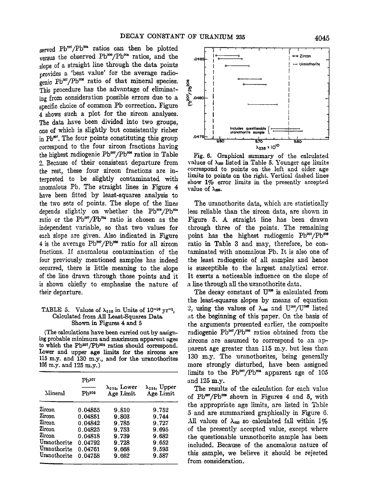served Pb<sup>207</sup>/Pb<sup>204</sup> ratios can then be plotted versus the observed Pb<sup>206</sup>/Pb<sup>204</sup> ratios, and the **slope of a straight line through the data points provides a 'best value' for the average radio**genic Pb<sup>ar</sup>/Pb<sup>ase</sup> ratio of that mineral species. <sup>8</sup>/<sub>This</sub> procedure has the advantage of eliminat-**This procedure has the advantage of eliminating from consideration possible errors due to a**  ing from consideration possible errors due to a<br>specific choice of common Pb correction. Figure  $\frac{1}{6}$ **4 shows such a plot for the zircon analyses. The data have been divided into two groups, one of which is slightly but consistently richer**  in Pb<sup>207</sup>. The four points constituting this group **correspond to the four zircon fractions having**  the highest radiogenic Pb<sup>207</sup>/Pb<sup>208</sup> ratios in Table **2. Because of their consistent departure from the rest, these four zircon fractions are interpreted to be slightly contaminated with anomalous Pb. The straight lines in Figure 4 have been fitted by least-squares analysis to**  the two sets of points. The slope of the lines depends slightly on whether the Pb<sup>200</sup>/Pb<sup>204</sup> ratio or the Pb<sup>207</sup>/Pb<sup>204</sup> ratio is chosen as the independent variable, so that two values for **each slope are given. Also indicated in Figure**  4 is the average Pb<sup>207</sup>/Pb<sup>209</sup> ratio for all zircon **fractions. If anomalous contamination of the four previously mentioned samples has indeed occurred, there is little meaning to the slope of •he line drawn illrough those points and it is shown chiefly to emphasize the nature of their departure.** 

#### **TABLE 5.** Values of  $\lambda_{235}$  in Units of  $10^{-10}$  yr<sup>-1</sup>, **Calculated from All Least-Squares Data Shown in Figures 4 and 5**

**(The calculations have been carried out by assign**ing probable minimum and maximum apparent ages to which the Pb<sup>207</sup>/Pb<sup>206</sup> ratios should correspond. **Lower and upper age limits for the zircons are 115 m.y. and 130 m.y., and for the uranothorites 105 m.y. and 125 m.y.)** 

| Mineral      | Ph207<br>$\mathbf{Pb^{205}}$ | $\lambda_{235}$ , Lower<br>Age Limit | $\lambda_{235}$ , Upper<br>Age Limit |
|--------------|------------------------------|--------------------------------------|--------------------------------------|
| Zircon       | 0.04855                      | 9.810                                | 9.752                                |
| Zircon       | 0.04851                      | 9.803                                | 9.744                                |
| Zircon       | 0.04842                      | 9.785                                | 9.727                                |
| Zircon       | 0.04825                      | 9.753                                | 9.695                                |
| Zircon       | 0.04818                      | 9.739                                | 9.682                                |
| Uranothorite | 0.04792                      | 9.728                                | 9.652                                |
| Uranothorite | 0.04761                      | 9.668                                | 9.593                                |
| Uranothorite | 0.04758                      | 9.662                                | 9.587                                |



**Fig. 6. Graphical summary of the calculated**  values of  $\lambda_{\text{ss}}$  listed in Table 5. Younger age limits **correspond to points on the left and older age limits to points on the righr,. Vertical dashed lines show 1% error limits in the presently accepted value of X•.** 

**Tile uranothorite data, which are statistically less reliable than the zircon data, are shown in Figure 5. A straight line has been drawn through three of the points. The remaining**  point has the highest radiogenic  $Pb^{207}/Pb^{200}$ **ratio in Table 3 and may, therefore, be contaminated with anomalous ?b. It is also one of the least radiogenic of all samples and hence is susceptible to the largest analytical error.**  It exerts a noticeable influence on the slope of a line through all the uranothorite data.

The decay constant of U<sup>235</sup> is calculated from **the least-squares slopes by means of equation**  2, using the values of  $\lambda_{288}$  and  $U^{288}/U^{285}$  listed at the beginning of this paper. On the basis of the arguments presented earlier, the composite radiogenic Pb<sup>207</sup>/Pb<sup>206</sup> ratios obtained from the **zircons are assumed to correspond to an apparent age greater than 115 m.y. but less than 130 m.y. The uranothorites, being generally more strongly disturbed, have been assigned**  limits to the Pb<sup>207</sup>/Pb<sup>203</sup> apparent age of 105 and 125 m.y.

**The results of the calculation for each value**  of Pb<sup>207</sup>/Pb<sup>206</sup> shown in Figures 4 and 5, with the appropriate age limits, are listed in Table **5 and are summarized graphically in Figure 6.**  All values of  $\lambda_{\text{ess}}$  so calculated fall within  $1\%$ **of the presently accepted value, except where the questionable uranothorite sample has been included. Because of the anomalous nature of this sample, we believe it should be rejected from consideration.**